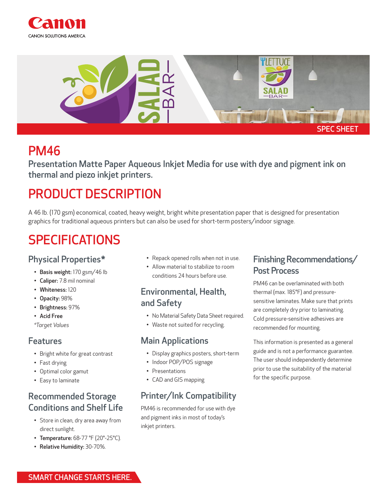



## PM46

Presentation Matte Paper Aqueous Inkjet Media for use with dye and pigment ink on thermal and piezo inkjet printers.

# PRODUCT DESCRIPTION

A 46 lb. (170 gsm) economical, coated, heavy weight, bright white presentation paper that is designed for presentation graphics for traditional aqueous printers but can also be used for short-term posters/indoor signage.

# SPECIFICATIONS

#### Physical Properties\*

- Basis weight: 170 gsm/46 lb
- Caliper: 7.8 mil nominal
- Whiteness: 120
- Opacity: 98%
- Brightness: 97%
- Acid Free
- *\*Target Values*

#### Features

- Bright white for great contrast
- Fast drying
- Optimal color gamut
- Easy to laminate

### Recommended Storage Conditions and Shelf Life

- Store in clean, dry area away from direct sunlight.
- Temperature: 68-77 °F (20°-25°C).
- Relative Humidity: 30-70%.
- Repack opened rolls when not in use.
- Allow material to stabilize to room conditions 24 hours before use.

#### Environmental, Health, and Safety

- No Material Safety Data Sheet required.
- Waste not suited for recycling.

#### Main Applications

- Display graphics posters, short-term
- Indoor POP/POS signage
- Presentations
- CAD and GIS mapping

### Printer/Ink Compatibility

PM46 is recommended for use with dye and pigment inks in most of today's inkjet printers.

#### Finishing Recommendations/ Post Process

PM46 can be overlaminated with both thermal (max. 185°F) and pressuresensitive laminates. Make sure that prints are completely dry prior to laminating. Cold pressure-sensitive adhesives are recommended for mounting.

This information is presented as a general guide and is not a performance guarantee. The user should independently determine prior to use the suitability of the material for the specific purpose.